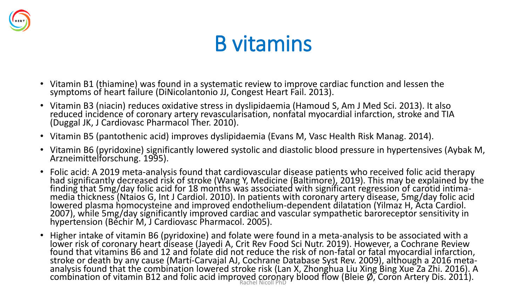

#### B vitamins

- Vitamin B1 (thiamine) was found in a systematic review to improve cardiac function and lessen the symptoms of heart failure (DiNicolantonio JJ, Congest Heart Fail. 2013).
- Vitamin B3 (niacin) reduces oxidative stress in dyslipidaemia (Hamoud S, Am J Med Sci. 2013). It also reduced incidence of coronary artery revascularisation, nonfatal myocardial infarction, stroke and TIA (Duggal JK, J Cardiovasc Pharmacol Ther. 2010).
- Vitamin B5 (pantothenic acid) improves dyslipidaemia (Evans M, Vasc Health Risk Manag. 2014).
- Vitamin B6 (pyridoxine) significantly lowered systolic and diastolic blood pressure in hypertensives (Aybak M, Arzneimittelforschung. 1995).
- Folic acid: A 2019 meta-analysis found that cardiovascular disease patients who received folic acid therapy had significantly decreased risk of stroke (Wang Y, Medicine (Baltimore), 2019). This may be explained by the finding that 5mg/day folic acid for 18 months was associated with significant regression of carotid intimamedia thickness (Ntaios G, Int J Cardiol. 2010). In patients with coronary artery disease, 5mg/day folic acid lowered plasma homocysteine and improved endothelium-dependent dilatation (Yilmaz H, Acta Cardiol. 2007), while 5mg/day significantly improved cardiac and vascular sympathetic baroreceptor sensitivity in hypertension (Béchir M, J Cardiovasc Pharmacol. 2005).
- Higher intake of vitamin B6 (pyridoxine) and folate were found in a meta-analysis to be associated with a lower risk of coronary heart disease (Jayedi A, Crit Rev Food Sci Nutr. 2019). However, a Cochrane Review found that vitamins B6 and 12 and folate did not reduce the risk of non-fatal or fatal myocardial infarction, stroke or death by any cause (Martí-Carvajal AJ, Cochrane Database Syst Rev. 2009), although a 2016 metaanalysis found that the combination lowered stroke risk (Lan X, Zhonghua Liu Xing Bing Xue Za Zhi. 2016). A combination of vitamin B12 and folic acid improved coronary blood flow (Bleie Ø, Coron Artery Dis. 2011).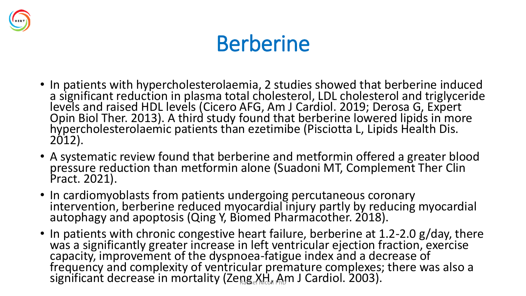

## Berberine

- In patients with hypercholesterolaemia, 2 studies showed that berberine induced a significant reduction in plasma total cholesterol, LDL cholesterol and triglyceride levels and raised HDL levels (Cicero AFG, Am J Cardiol. 2019; Derosa G, Expert Opin Biol Ther. 2013). A third study found that berberine lowered lipids in more hypercholesterolaemic patients than ezetimibe (Pisciotta L, Lipids Health Dis. 2012).
- A systematic review found that berberine and metformin offered a greater blood pressure reduction than metformin alone (Suadoni MT, Complement Ther Clin Pract. 2021).
- In cardiomyoblasts from patients undergoing percutaneous coronary intervention, berberine reduced myocardial injury partly by reducing myocardial autophagy and apoptosis (Qing Y, Biomed Pharmacother. 2018).
- In patients with chronic congestive heart failure, berberine at 1.2-2.0 g/day, there was a significantly greater increase in left ventricular ejection fraction, exercise capacity, improvement of the dyspnoea-fatigue index and a decrease of frequency and complexity of ventricular premature complexes; there was also a significant decrease in mortality (Zeng XH, Am J Cardiol. 2003).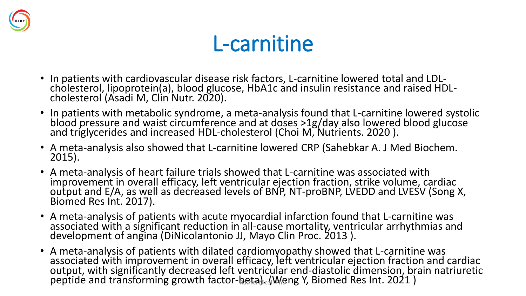

#### L-carnitine

- In patients with cardiovascular disease risk factors, L-carnitine lowered total and LDLcholesterol, lipoprotein(a), blood glucose, HbA1c and insulin resistance and raised HDLcholesterol (Asadi M, Clin Nutr. 2020).
- In patients with metabolic syndrome, a meta-analysis found that L-carnitine lowered systolic blood pressure and waist circumference and at doses >1g/day also lowered blood glucose and triglycerides and increased HDL-cholesterol (Choi M, Nutrients. 2020 ).
- A meta-analysis also showed that L-carnitine lowered CRP (Sahebkar A. J Med Biochem. 2015).
- A meta-analysis of heart failure trials showed that L-carnitine was associated with improvement in overall efficacy, left ventricular ejection fraction, strike volume, cardiac output and E/A, as well as decreased levels of BNP, NT-proBNP, LVEDD and LVESV (Song X, Biomed Res Int. 2017).
- A meta-analysis of patients with acute myocardial infarction found that L-carnitine was associated with a significant reduction in all-cause mortality, ventricular arrhythmias and development of angina (DiNicolantonio JJ, Mayo Clin Proc. 2013 ).
- A meta-analysis of patients with dilated cardiomyopathy showed that L-carnitine was associated with improvement in overall efficacy, left ventricular ejection fraction and cardiac output, with significantly decreased left ventricular end-diastolic dimension, brain natriuretic peptide and transforming growth factor-beta). (Meng Y, Biomed Res Int. 2021)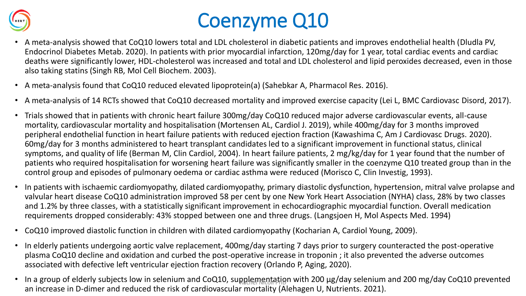

#### Coenzyme Q10

- A meta-analysis showed that CoQ10 lowers total and LDL cholesterol in diabetic patients and improves endothelial health (Dludla PV, Endocrinol Diabetes Metab. 2020). In patients with prior myocardial infarction, 120mg/day for 1 year, total cardiac events and cardiac deaths were significantly lower, HDL-cholesterol was increased and total and LDL cholesterol and lipid peroxides decreased, even in those also taking statins (Singh RB, Mol Cell Biochem. 2003).
- A meta-analysis found that CoQ10 reduced elevated lipoprotein(a) (Sahebkar A, Pharmacol Res. 2016).
- A meta-analysis of 14 RCTs showed that CoQ10 decreased mortality and improved exercise capacity (Lei L, BMC Cardiovasc Disord, 2017).
- Trials showed that in patients with chronic heart failure 300mg/day CoQ10 reduced major adverse cardiovascular events, all-cause mortality, cardiovascular mortality and hospitalisation (Mortensen AL, Cardiol J. 2019), while 400mg/day for 3 months improved peripheral endothelial function in heart failure patients with reduced ejection fraction (Kawashima C, Am J Cardiovasc Drugs. 2020). 60mg/day for 3 months administered to heart transplant candidates led to a significant improvement in functional status, clinical symptoms, and quality of life (Berman M, Clin Cardiol, 2004). In heart failure patients, 2 mg/kg/day for 1 year found that the number of patients who required hospitalisation for worsening heart failure was significantly smaller in the coenzyme Q10 treated group than in the control group and episodes of pulmonary oedema or cardiac asthma were reduced (Morisco C, Clin Investig, 1993).
- In patients with ischaemic cardiomyopathy, dilated cardiomyopathy, primary diastolic dysfunction, hypertension, mitral valve prolapse and valvular heart disease CoQ10 administration improved 58 per cent by one New York Heart Association (NYHA) class, 28% by two classes and 1.2% by three classes, with a statistically significant improvement in echocardiographic myocardial function. Overall medication requirements dropped considerably: 43% stopped between one and three drugs. (Langsjoen H, Mol Aspects Med. 1994)
- CoQ10 improved diastolic function in children with dilated cardiomyopathy (Kocharian A, Cardiol Young, 2009).
- In elderly patients undergoing aortic valve replacement, 400mg/day starting 7 days prior to surgery counteracted the post-operative plasma CoQ10 decline and oxidation and curbed the post-operative increase in troponin ; it also prevented the adverse outcomes associated with defective left ventricular ejection fraction recovery (Orlando P, Aging, 2020).
- In a group of elderly subjects low in selenium and CoQ10, supplementation with 200 µg/day selenium and 200 mg/day CoQ10 prevented an increase in D-dimer and reduced the risk of cardiovascular mortality (Alehagen U, Nutrients. 2021).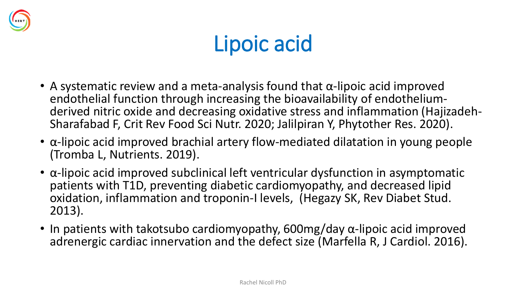

# Lipoic acid

- A systematic review and a meta-analysis found that  $\alpha$ -lipoic acid improved endothelial function through increasing the bioavailability of endotheliumderived nitric oxide and decreasing oxidative stress and inflammation (Hajizadeh-Sharafabad F, Crit Rev Food Sci Nutr. 2020; Jalilpiran Y, Phytother Res. 2020).
- α-lipoic acid improved brachial artery flow-mediated dilatation in young people (Tromba L, Nutrients. 2019).
- α-lipoic acid improved subclinical left ventricular dysfunction in asymptomatic patients with T1D, preventing diabetic cardiomyopathy, and decreased lipid oxidation, inflammation and troponin-I levels, (Hegazy SK, Rev Diabet Stud. 2013).
- In patients with takotsubo cardiomyopathy, 600mg/day α-lipoic acid improved adrenergic cardiac innervation and the defect size (Marfella R, J Cardiol. 2016).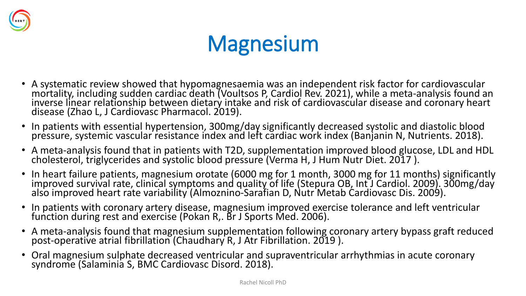

# **Magnesium**

- A systematic review showed that hypomagnesaemia was an independent risk factor for cardiovascular mortality, including sudden cardiac death (Voultsos P, Cardiol Rev. 2021), while a meta-analysis found an inverse linear relationship between dietary intake and risk of cardiovascular disease and coronary heart disease (Zhao L, J Cardiovasc Pharmacol. 2019).
- In patients with essential hypertension, 300mg/day significantly decreased systolic and diastolic blood pressure, systemic vascular resistance index and left cardiac work index (Banjanin N, Nutrients. 2018).
- A meta-analysis found that in patients with T2D, supplementation improved blood glucose, LDL and HDL cholesterol, triglycerides and systolic blood pressure (Verma H, J Hum Nutr Diet. 2017 ).
- In heart failure patients, magnesium orotate (6000 mg for 1 month, 3000 mg for 11 months) significantly improved survival rate, clinical symptoms and quality of life (Stepura OB, Int J Cardiol. 2009). 300mg/day also improved heart rate variability (Almoznino-Sarafian D, Nutr Metab Cardiovasc Dis. 2009).
- In patients with coronary artery disease, magnesium improved exercise tolerance and left ventricular function during rest and exercise (Pokan R,. Br J Sports Med. 2006).
- A meta-analysis found that magnesium supplementation following coronary artery bypass graft reduced post-operative atrial fibrillation (Chaudhary R, J Atr Fibrillation. 2019 ).
- Oral magnesium sulphate decreased ventricular and supraventricular arrhythmias in acute coronary syndrome (Salaminia S, BMC Cardiovasc Disord. 2018).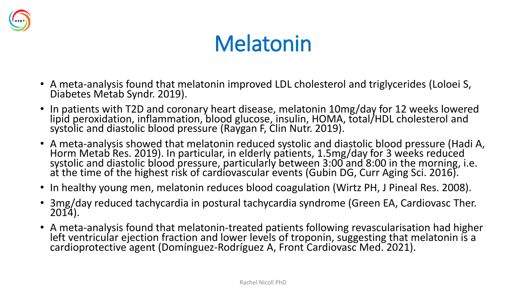

# Melatonin

- A meta-analysis found that melatonin improved LDL cholesterol and triglycerides (Loloei S, Diabetes Metab Syndr. 2019).
- In patients with T2D and coronary heart disease, melatonin 10mg/day for 12 weeks lowered lipid peroxidation, inflammation, blood glucose, insulin, HOMA, total/HDL cholesterol and systolic and diastolic blood pressure (Raygan F, Clin Nutr. 2019).
- A meta-analysis showed that melatonin reduced systolic and diastolic blood pressure (Hadi A, Horm Metab Res. 2019). In particular, in elderly patients, 1.5mg/day for 3 weeks reduced systolic and diastolic blood pressure, particularly between 3:00 and 8:00 in the morning, i.e. at the time of the highest risk of cardiovascular events (Gubin DG, Curr Aging Sci. 2016).
- In healthy young men, melatonin reduces blood coagulation (Wirtz PH, J Pineal Res. 2008).
- 3mg/day reduced tachycardia in postural tachycardia syndrome (Green EA, Cardiovasc Ther. 2014).
- A meta-analysis found that melatonin-treated patients following revascularisation had higher left ventricular ejection fraction and lower levels of troponin, suggesting that melatonin is a cardioprotective agent (Domínguez-Rodríguez A, Front Cardiovasc Med. 2021).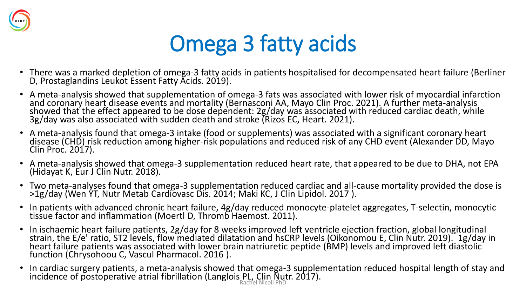

# Omega 3 fatty acids

- There was a marked depletion of omega-3 fatty acids in patients hospitalised for decompensated heart failure (Berliner D, Prostaglandins Leukot Essent Fatty Acids. 2019).
- A meta-analysis showed that supplementation of omega-3 fats was associated with lower risk of myocardial infarction and coronary heart disease events and mortality (Bernasconi AA, Mayo Clin Proc. 2021). A further meta-analysis showed that the effect appeared to be dose dependent: 2g/day was associated with reduced cardiac death, while 3g/day was also associated with sudden death and stroke (Rizos EC, Heart. 2021).
- A meta-analysis found that omega-3 intake (food or supplements) was associated with a significant coronary heart disease (CHD) risk reduction among higher-risk populations and reduced risk of any CHD event (Alexander DD, Mayo Clin Proc. 2017).
- A meta-analysis showed that omega-3 supplementation reduced heart rate, that appeared to be due to DHA, not EPA (Hidayat K, Eur J Clin Nutr. 2018).
- Two meta-analyses found that omega-3 supplementation reduced cardiac and all-cause mortality provided the dose is >1g/day (Wen YT, Nutr Metab Cardiovasc Dis. 2014; Maki KC, J Clin Lipidol. 2017 ).
- In patients with advanced chronic heart failure, 4g/day reduced monocyte-platelet aggregates, T-selectin, monocytic tissue factor and inflammation (Moertl D, Thromb Haemost. 2011).
- In ischaemic heart failure patients, 2g/day for 8 weeks improved left ventricle ejection fraction, global longitudinal strain, the E/e' ratio, ST2 levels, flow mediated dilatation and hsCRP levels (Oikonomou E, Clin Nutr. 2019). 1g/day in heart failure patients was associated with lower brain natriuretic peptide (BMP) levels and improved left diastolic function (Chrysohoou C, Vascul Pharmacol. 2016 ).
- In cardiac surgery patients, a meta-analysis showed that omega-3 supplementation reduced hospital length of stay and incidence of postoperative atrial fibrillation (Langlois PL, Clin Nutr. 2017).<br>Rachel Nicoll PhD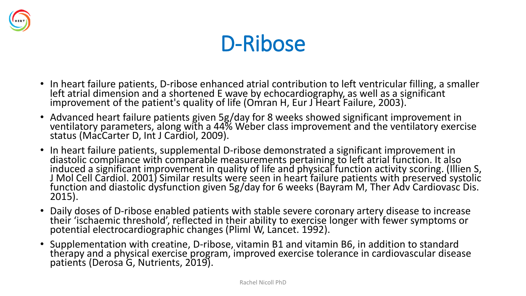



- In heart failure patients, D-ribose enhanced atrial contribution to left ventricular filling, a smaller left atrial dimension and a shortened E wave by echocardiography, as well as a significant improvement of the patient's quality of life (Omran H, Eur J Heart Failure, 2003). `
- Advanced heart failure patients given 5g/day for 8 weeks showed significant improvement in ventilatory parameters, along with a 44% Weber class improvement and the ventilatory exercise status (MacCarter D, Int J Cardiol, 2009).
- In heart failure patients, supplemental D-ribose demonstrated a significant improvement in diastolic compliance with comparable measurements pertaining to left atrial function. It also induced a significant improvement in quality of life and physical function activity scoring. (Illien S, J Mol Cell Cardiol. 2001) Similar results were seen in heart failure patients with preserved systolic function and diastolic dysfunction given 5g/day for 6 weeks (Bayram M, Ther Adv Cardiovasc Dis. 2015).
- Daily doses of D-ribose enabled patients with stable severe coronary artery disease to increase their 'ischaemic threshold', reflected in their ability to exercise longer with fewer symptoms or potential electrocardiographic changes (Pliml W, Lancet. 1992).
- Supplementation with creatine, D-ribose, vitamin B1 and vitamin B6, in addition to standard therapy and a physical exercise program, improved exercise tolerance in cardiovascular disease patients (Derosa G, Nutrients, 2019).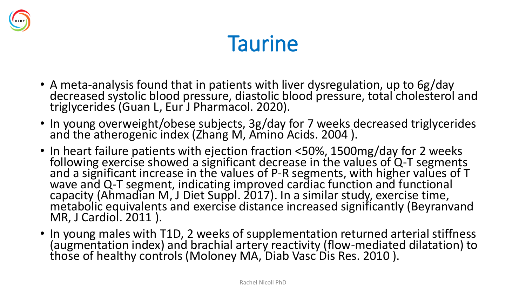

## **Taurine**

- A meta-analysis found that in patients with liver dysregulation, up to 6g/day decreased systolic blood pressure, diastolic blood pressure, total cholesterol and triglycerides (Guan L, Eur J Pharmacol. 2020).
- In young overweight/obese subjects, 3g/day for 7 weeks decreased triglycerides and the atherogenic index (Zhang M, Amino Acids. 2004 ).
- In heart failure patients with ejection fraction <50%, 1500mg/day for 2 weeks following exercise showed a significant decrease in the values of Q-T segments and a significant increase in the values of P-R segments, with higher values of T wave and Q-T segment, indicating improved cardiac function and functional capacity (Ahmadian M, J Diet Suppl. 2017). In a similar study, exercise time, metabolic equivalents and exercise distance increased significantly (Beyranvand MR, J Cardiol. 2011 ).
- In young males with T1D, 2 weeks of supplementation returned arterial stiffness (augmentation index) and brachial artery reactivity (flow-mediated dilatation) to those of healthy controls (Moloney MA, Diab Vasc Dis Res. 2010 ).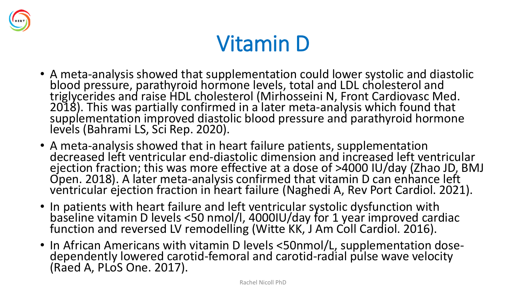

## Vitamin D

- A meta-analysis showed that supplementation could lower systolic and diastolic blood pressure, parathyroid hormone levels, total and LDL cholesterol and triglycerides and raise HDL cholesterol (Mirhosseini N, Front Cardiovasc Med. 2018). This was partially confirmed in a later meta-analysis which found that supplementation improved diastolic blood pressure and parathyroid hormone levels (Bahrami LS, Sci Rep. 2020).
- A meta-analysis showed that in heart failure patients, supplementation decreased left ventricular end-diastolic dimension and increased left ventricular ejection fraction; this was more effective at a dose of >4000 IU/day (Zhao JD, BMJ Open. 2018). A later meta-analysis confirmed that vitamin D can enhance left ventricular ejection fraction in heart failure (Naghedi A, Rev Port Cardiol. 2021).
- In patients with heart failure and left ventricular systolic dysfunction with baseline vitamin D levels <50 nmol/l, 4000IU/day for 1 year improved cardiac function and reversed LV remodelling (Witte KK, J Am Coll Cardiol. 2016).
- In African Americans with vitamin D levels <50nmol/L, supplementation dosedependently lowered carotid-femoral and carotid-radial pulse wave velocity (Raed A, PLoS One. 2017).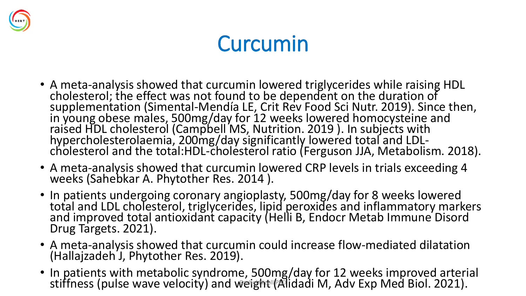

# Curcumin

- A meta-analysis showed that curcumin lowered triglycerides while raising HDL cholesterol; the effect was not found to be dependent on the duration of supplementation (Simental-Mendía LE, Crit Rev Food Sci Nutr. 2019). Since then, in young obese males, 500mg/day for 12 weeks lowered homocysteine and raised HDL cholesterol (Campbell MS, Nutrition. 2019). In subjects with hypercholesterolaemia, 200mg/day significantly lowered total and LDLcholesterol and the total:HDL-cholesterol ratio (Ferguson JJA, Metabolism. 2018).
- A meta-analysis showed that curcumin lowered CRP levels in trials exceeding 4 weeks (Sahebkar A. Phytother Res. 2014 ).
- In patients undergoing coronary angioplasty, 500mg/day for 8 weeks lowered total and LDL cholesterol, triglycerides, lipid peroxides and inflammatory markers and improved total antioxidant capacity (Helli B, Endocr Metab Immune Disord Drug Targets. 2021).
- A meta-analysis showed that curcumin could increase flow-mediated dilatation (Hallajzadeh J, Phytother Res. 2019).
- In patients with metabolic syndrome, 500mg/day for 12 weeks improved arterial stiffness (pulse wave velocity) and weight (Alidadi M, Adv Exp Med Biol. 2021).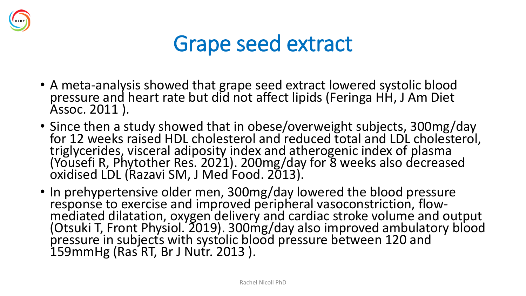

#### Grape seed extract

- A meta-analysis showed that grape seed extract lowered systolic blood pressure and heart rate but did not affect lipids (Feringa HH, J Am Diet Assoc. 2011 ).
- Since then a study showed that in obese/overweight subjects, 300mg/day for 12 weeks raised HDL cholesterol and reduced total and LDL cholesterol, triglycerides, visceral adiposity index and atherogenic index of plasma (Yousefi R, Phytother Res. 2021). 200mg/day for 8 weeks also decreased oxidised LDL (Razavi SM, J Med Food. 2013).
- In prehypertensive older men, 300mg/day lowered the blood pressure response to exercise and improved peripheral vasoconstriction, flowmediated dilatation, oxygen delivery and cardiac stroke volume and output (Otsuki T, Front Physiol. 2019). 300mg/day also improved ambulatory blood pressure in subjects with systolic blood pressure between 120 and 159mmHg (Ras RT, Br J Nutr. 2013 ).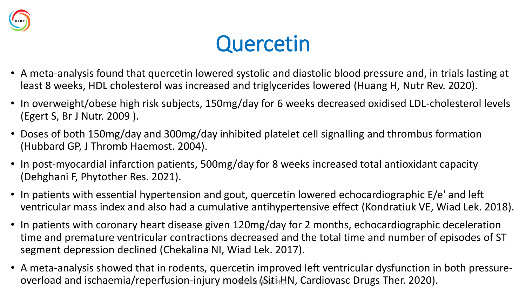

### **Quercetin**

- A meta-analysis found that quercetin lowered systolic and diastolic blood pressure and, in trials lasting at least 8 weeks, HDL cholesterol was increased and triglycerides lowered (Huang H, Nutr Rev. 2020).
- In overweight/obese high risk subjects, 150mg/day for 6 weeks decreased oxidised LDL-cholesterol levels (Egert S, Br J Nutr. 2009 ).
- Doses of both 150mg/day and 300mg/day inhibited platelet cell signalling and thrombus formation (Hubbard GP, J Thromb Haemost. 2004).
- In post-myocardial infarction patients, 500mg/day for 8 weeks increased total antioxidant capacity (Dehghani F, Phytother Res. 2021).
- In patients with essential hypertension and gout, quercetin lowered echocardiographic E/e' and left ventricular mass index and also had a cumulative antihypertensive effect (Kondratiuk VE, Wiad Lek. 2018).
- In patients with coronary heart disease given 120mg/day for 2 months, echocardiographic deceleration time and premature ventricular contractions decreased and the total time and number of episodes of ST segment depression declined (Chekalina NI, Wiad Lek. 2017).
- A meta-analysis showed that in rodents, quercetin improved left ventricular dysfunction in both pressureoverload and ischaemia/reperfusion-injury models (Siti HN, Cardiovasc Drugs Ther. 2020).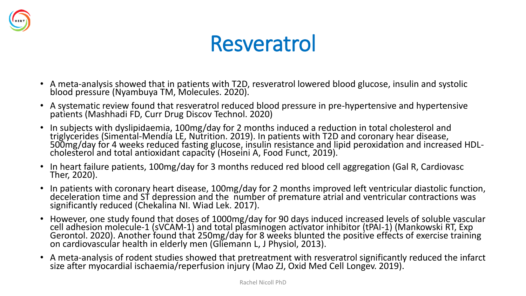

#### Resveratrol

- A meta-analysis showed that in patients with T2D, resveratrol lowered blood glucose, insulin and systolic blood pressure (Nyambuya TM, Molecules. 2020).
- A systematic review found that resveratrol reduced blood pressure in pre-hypertensive and hypertensive patients (Mashhadi FD, Curr Drug Discov Technol. 2020)
- In subjects with dyslipidaemia, 100mg/day for 2 months induced a reduction in total cholesterol and triglycerides (Simental-Mendía LE, Nutrition. 2019). In patients with T2D and coronary hear disease, 500mg/day for 4 weeks reduced fasting glucose, insulin resistance and lipid peroxidation and increased HDLcholesterol and total antioxidant capacity (Hoseini A, Food Funct, 2019).
- In heart failure patients, 100mg/day for 3 months reduced red blood cell aggregation (Gal R, Cardiovasc Ther, 2020).
- In patients with coronary heart disease, 100mg/day for 2 months improved left ventricular diastolic function, deceleration time and ST depression and the number of premature atrial and ventricular contractions was significantly reduced (Chekalina NI. Wiad Lek. 2017).
- However, one study found that doses of 1000mg/day for 90 days induced increased levels of soluble vascular cell adhesion molecule-1 (sVCAM-1) and total plasminogen activator inhibitor (tPAI-1) (Mankowski RT, Exp Gerontol. 2020). Another found that 250mg/day for 8 weeks blunted the positive effects of exercise training on cardiovascular health in elderly men (Gliemann L, J Physiol, 2013).
- A meta-analysis of rodent studies showed that pretreatment with resveratrol significantly reduced the infarct size after myocardial ischaemia/reperfusion injury (Mao ZJ, Oxid Med Cell Longev. 2019).